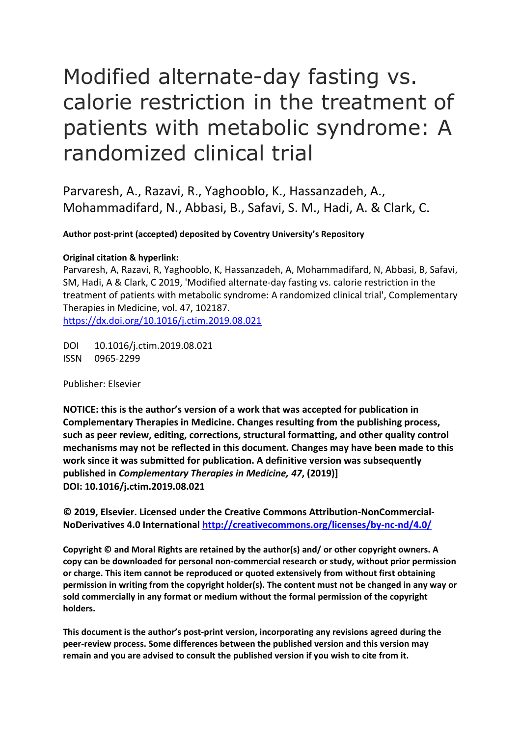# Modified alternate-day fasting vs. calorie restriction in the treatment of patients with metabolic syndrome: A randomized clinical trial

Parvaresh, A., Razavi, R., Yaghooblo, K., Hassanzadeh, A., Mohammadifard, N., Abbasi, B., Safavi, S. M., Hadi, A. & Clark, C.

**Author post-print (accepted) deposited by Coventry University's Repository**

# **Original citation & hyperlink:**

Parvaresh, A, Razavi, R, Yaghooblo, K, Hassanzadeh, A, Mohammadifard, N, Abbasi, B, Safavi, SM, Hadi, A & Clark, C 2019, 'Modified alternate-day fasting vs. calorie restriction in the treatment of patients with metabolic syndrome: A randomized clinical trial', Complementary Therapies in Medicine, vol. 47, 102187. <https://dx.doi.org/10.1016/j.ctim.2019.08.021>

DOI 10.1016/j.ctim.2019.08.021 ISSN 0965-2299

Publisher: Elsevier

**NOTICE: this is the author's version of a work that was accepted for publication in Complementary Therapies in Medicine. Changes resulting from the publishing process, such as peer review, editing, corrections, structural formatting, and other quality control mechanisms may not be reflected in this document. Changes may have been made to this work since it was submitted for publication. A definitive version was subsequently published in** *Complementary Therapies in Medicine, 47***, (2019)] DOI: 10.1016/j.ctim.2019.08.021**

**© 2019, Elsevier. Licensed under the Creative Commons Attribution-NonCommercial-NoDerivatives 4.0 International<http://creativecommons.org/licenses/by-nc-nd/4.0/>**

**Copyright © and Moral Rights are retained by the author(s) and/ or other copyright owners. A copy can be downloaded for personal non-commercial research or study, without prior permission or charge. This item cannot be reproduced or quoted extensively from without first obtaining permission in writing from the copyright holder(s). The content must not be changed in any way or sold commercially in any format or medium without the formal permission of the copyright holders.** 

**This document is the author's post-print version, incorporating any revisions agreed during the peer-review process. Some differences between the published version and this version may remain and you are advised to consult the published version if you wish to cite from it.**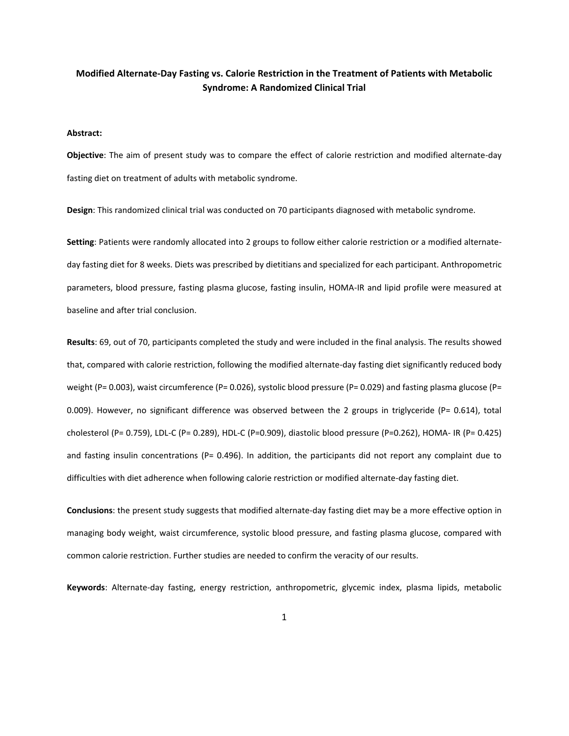# **Modified Alternate-Day Fasting vs. Calorie Restriction in the Treatment of Patients with Metabolic Syndrome: A Randomized Clinical Trial**

# **Abstract:**

**Objective**: The aim of present study was to compare the effect of calorie restriction and modified alternate-day fasting diet on treatment of adults with metabolic syndrome.

**Design**: This randomized clinical trial was conducted on 70 participants diagnosed with metabolic syndrome.

**Setting**: Patients were randomly allocated into 2 groups to follow either calorie restriction or a modified alternateday fasting diet for 8 weeks. Diets was prescribed by dietitians and specialized for each participant. Anthropometric parameters, blood pressure, fasting plasma glucose, fasting insulin, HOMA-IR and lipid profile were measured at baseline and after trial conclusion.

**Results**: 69, out of 70, participants completed the study and were included in the final analysis. The results showed that, compared with calorie restriction, following the modified alternate-day fasting diet significantly reduced body weight (P= 0.003), waist circumference (P= 0.026), systolic blood pressure (P= 0.029) and fasting plasma glucose (P= 0.009). However, no significant difference was observed between the 2 groups in triglyceride (P= 0.614), total cholesterol (P= 0.759), LDL-C (P= 0.289), HDL-C (P=0.909), diastolic blood pressure (P=0.262), HOMA- IR (P= 0.425) and fasting insulin concentrations (P= 0.496). In addition, the participants did not report any complaint due to difficulties with diet adherence when following calorie restriction or modified alternate-day fasting diet.

**Conclusions**: the present study suggests that modified alternate-day fasting diet may be a more effective option in managing body weight, waist circumference, systolic blood pressure, and fasting plasma glucose, compared with common calorie restriction. Further studies are needed to confirm the veracity of our results.

**Keywords**: Alternate-day fasting, energy restriction, anthropometric, glycemic index, plasma lipids, metabolic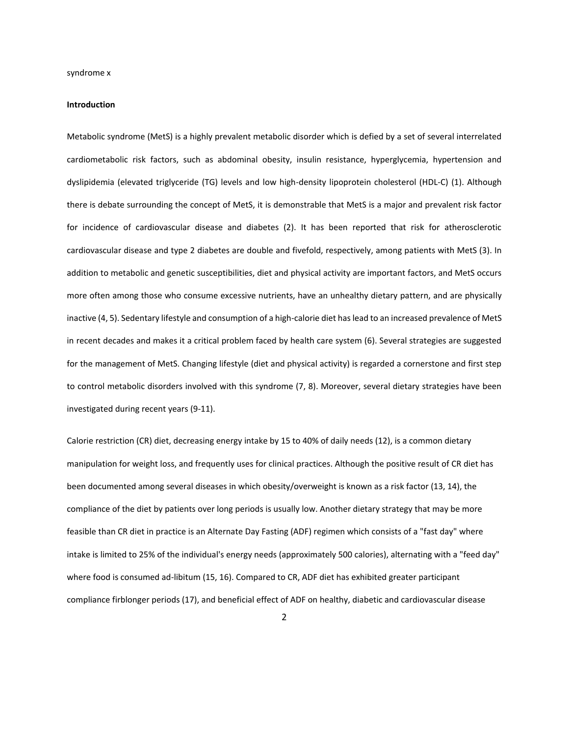#### **Introduction**

Metabolic syndrome (MetS) is a highly prevalent metabolic disorder which is defied by a set of several interrelated cardiometabolic risk factors, such as abdominal obesity, insulin resistance, hyperglycemia, hypertension and dyslipidemia (elevated triglyceride (TG) levels and low high-density lipoprotein cholesterol (HDL-C) (1). Although there is debate surrounding the concept of MetS, it is demonstrable that MetS is a major and prevalent risk factor for incidence of cardiovascular disease and diabetes (2). It has been reported that risk for atherosclerotic cardiovascular disease and type 2 diabetes are double and fivefold, respectively, among patients with MetS (3). In addition to metabolic and genetic susceptibilities, diet and physical activity are important factors, and MetS occurs more often among those who consume excessive nutrients, have an unhealthy dietary pattern, and are physically inactive (4, 5). Sedentary lifestyle and consumption of a high-calorie diet has lead to an increased prevalence of MetS in recent decades and makes it a critical problem faced by health care system (6). Several strategies are suggested for the management of MetS. Changing lifestyle (diet and physical activity) is regarded a cornerstone and first step to control metabolic disorders involved with this syndrome (7, 8). Moreover, several dietary strategies have been investigated during recent years (9-11).

Calorie restriction (CR) diet, decreasing energy intake by 15 to 40% of daily needs (12), is a common dietary manipulation for weight loss, and frequently uses for clinical practices. Although the positive result of CR diet has been documented among several diseases in which obesity/overweight is known as a risk factor (13, 14), the compliance of the diet by patients over long periods is usually low. Another dietary strategy that may be more feasible than CR diet in practice is an Alternate Day Fasting (ADF) regimen which consists of a "fast day" where intake is limited to 25% of the individual's energy needs (approximately 500 calories), alternating with a "feed day" where food is consumed ad-libitum (15, 16). Compared to CR, ADF diet has exhibited greater participant compliance firblonger periods (17), and beneficial effect of ADF on healthy, diabetic and cardiovascular disease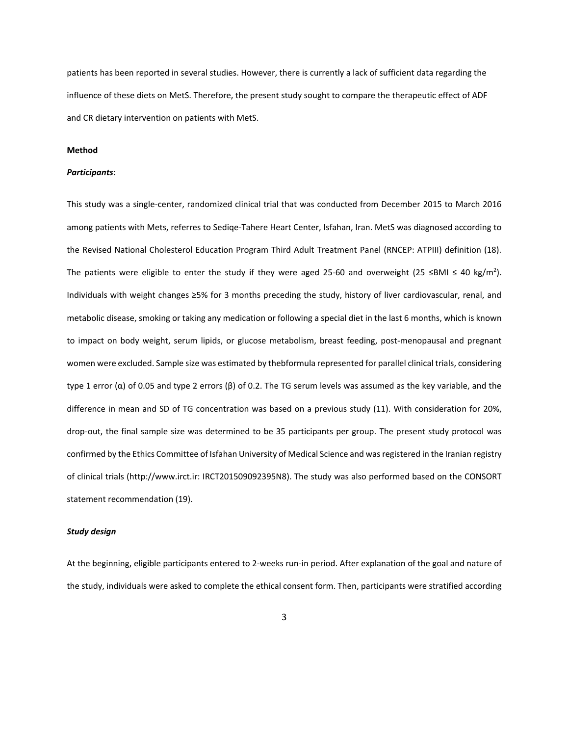patients has been reported in several studies. However, there is currently a lack of sufficient data regarding the influence of these diets on MetS. Therefore, the present study sought to compare the therapeutic effect of ADF and CR dietary intervention on patients with MetS.

# **Method**

## *Participants*:

This study was a single-center, randomized clinical trial that was conducted from December 2015 to March 2016 among patients with Mets, referres to Sediqe-Tahere Heart Center, Isfahan, Iran. MetS was diagnosed according to the Revised National Cholesterol Education Program Third Adult Treatment Panel (RNCEP: ATPIII) definition (18). The patients were eligible to enter the study if they were aged 25-60 and overweight (25 ≤BMI ≤ 40 kg/m<sup>2</sup>). Individuals with weight changes ≥5% for 3 months preceding the study, history of liver cardiovascular, renal, and metabolic disease, smoking or taking any medication or following a special diet in the last 6 months, which is known to impact on body weight, serum lipids, or glucose metabolism, breast feeding, post-menopausal and pregnant women were excluded. Sample size was estimated by thebformula represented for parallel clinical trials, considering type 1 error (α) of 0.05 and type 2 errors (β) of 0.2. The TG serum levels was assumed as the key variable, and the difference in mean and SD of TG concentration was based on a previous study (11). With consideration for 20%, drop-out, the final sample size was determined to be 35 participants per group. The present study protocol was confirmed by the Ethics Committee of Isfahan University of Medical Science and was registered in the Iranian registry of clinical trials (http://www.irct.ir: IRCT201509092395N8). The study was also performed based on the CONSORT statement recommendation (19).

# *Study design*

At the beginning, eligible participants entered to 2-weeks run-in period. After explanation of the goal and nature of the study, individuals were asked to complete the ethical consent form. Then, participants were stratified according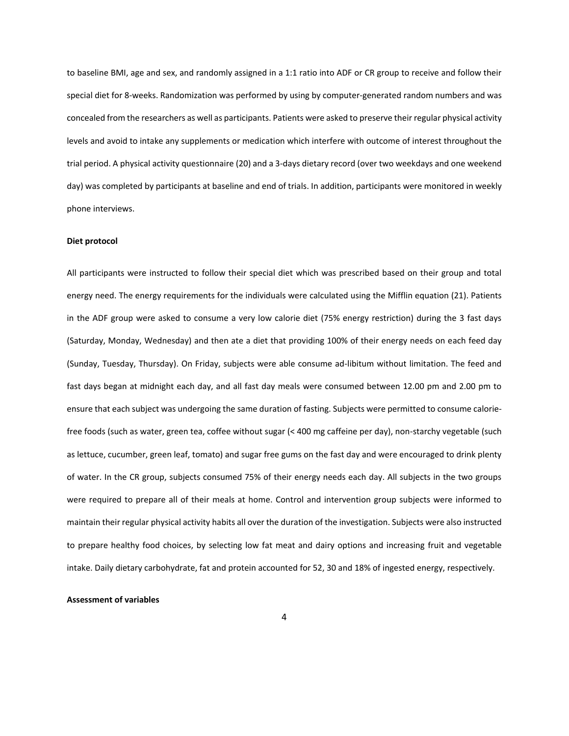to baseline BMI, age and sex, and randomly assigned in a 1:1 ratio into ADF or CR group to receive and follow their special diet for 8-weeks. Randomization was performed by using by computer-generated random numbers and was concealed from the researchers as well as participants. Patients were asked to preserve their regular physical activity levels and avoid to intake any supplements or medication which interfere with outcome of interest throughout the trial period. A physical activity questionnaire (20) and a 3-days dietary record (over two weekdays and one weekend day) was completed by participants at baseline and end of trials. In addition, participants were monitored in weekly phone interviews.

# **Diet protocol**

All participants were instructed to follow their special diet which was prescribed based on their group and total energy need. The energy requirements for the individuals were calculated using the Mifflin equation (21). Patients in the ADF group were asked to consume a very low calorie diet (75% energy restriction) during the 3 fast days (Saturday, Monday, Wednesday) and then ate a diet that providing 100% of their energy needs on each feed day (Sunday, Tuesday, Thursday). On Friday, subjects were able consume ad-libitum without limitation. The feed and fast days began at midnight each day, and all fast day meals were consumed between 12.00 pm and 2.00 pm to ensure that each subject was undergoing the same duration of fasting. Subjects were permitted to consume caloriefree foods (such as water, green tea, coffee without sugar (< 400 mg caffeine per day), non-starchy vegetable (such as lettuce, cucumber, green leaf, tomato) and sugar free gums on the fast day and were encouraged to drink plenty of water. In the CR group, subjects consumed 75% of their energy needs each day. All subjects in the two groups were required to prepare all of their meals at home. Control and intervention group subjects were informed to maintain their regular physical activity habits all over the duration of the investigation. Subjects were also instructed to prepare healthy food choices, by selecting low fat meat and dairy options and increasing fruit and vegetable intake. Daily dietary carbohydrate, fat and protein accounted for 52, 30 and 18% of ingested energy, respectively.

#### **Assessment of variables**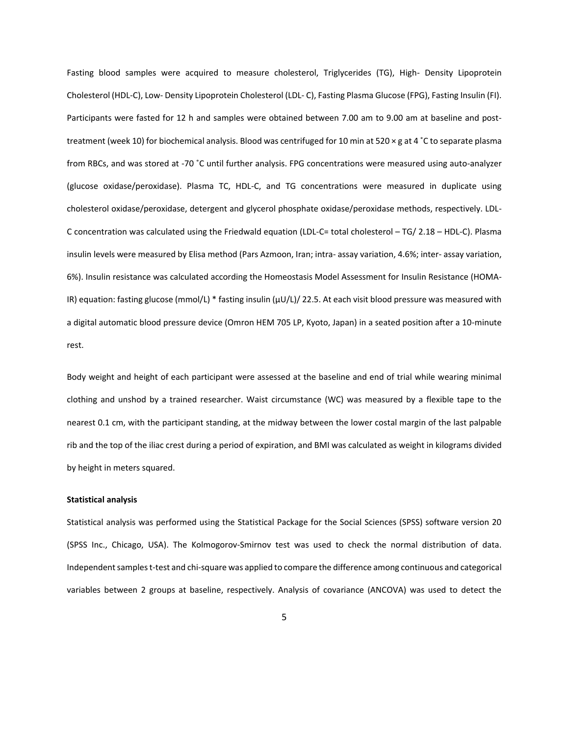Fasting blood samples were acquired to measure cholesterol, Triglycerides (TG), High- Density Lipoprotein Cholesterol (HDL-C), Low- Density Lipoprotein Cholesterol (LDL- C), Fasting Plasma Glucose (FPG), Fasting Insulin (FI). Participants were fasted for 12 h and samples were obtained between 7.00 am to 9.00 am at baseline and posttreatment (week 10) for biochemical analysis. Blood was centrifuged for 10 min at 520 × g at 4 ˚C to separate plasma from RBCs, and was stored at -70 ˚C until further analysis. FPG concentrations were measured using auto-analyzer (glucose oxidase/peroxidase). Plasma TC, HDL-C, and TG concentrations were measured in duplicate using cholesterol oxidase/peroxidase, detergent and glycerol phosphate oxidase/peroxidase methods, respectively. LDL-C concentration was calculated using the Friedwald equation (LDL-C= total cholesterol – TG/ 2.18 – HDL-C). Plasma insulin levels were measured by Elisa method (Pars Azmoon, Iran; intra- assay variation, 4.6%; inter- assay variation, 6%). Insulin resistance was calculated according the Homeostasis Model Assessment for Insulin Resistance (HOMA-IR) equation: fasting glucose (mmol/L) \* fasting insulin (μU/L)/ 22.5. At each visit blood pressure was measured with a digital automatic blood pressure device (Omron HEM 705 LP, Kyoto, Japan) in a seated position after a 10-minute rest.

Body weight and height of each participant were assessed at the baseline and end of trial while wearing minimal clothing and unshod by a trained researcher. Waist circumstance (WC) was measured by a flexible tape to the nearest 0.1 cm, with the participant standing, at the midway between the lower costal margin of the last palpable rib and the top of the iliac crest during a period of expiration, and BMI was calculated as weight in kilograms divided by height in meters squared.

# **Statistical analysis**

Statistical analysis was performed using the Statistical Package for the Social Sciences (SPSS) software version 20 (SPSS Inc., Chicago, USA). The Kolmogorov-Smirnov test was used to check the normal distribution of data. Independent samples t-test and chi-square was applied to compare the difference among continuous and categorical variables between 2 groups at baseline, respectively. Analysis of covariance (ANCOVA) was used to detect the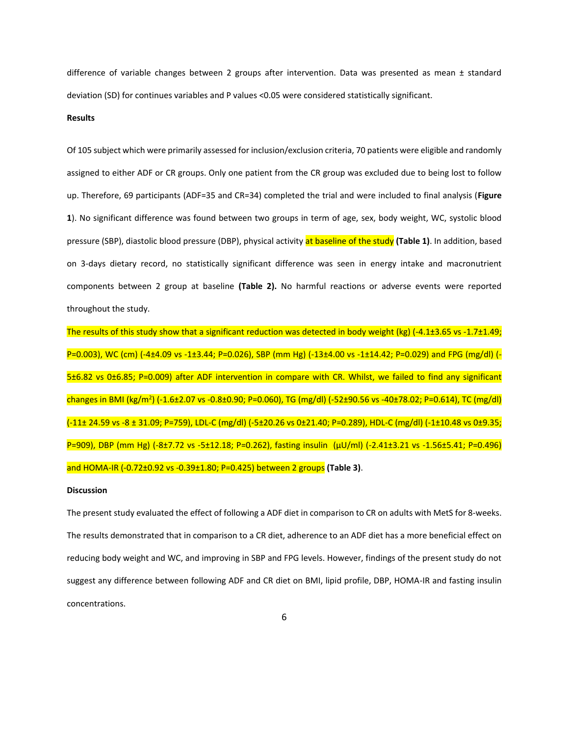difference of variable changes between 2 groups after intervention. Data was presented as mean ± standard deviation (SD) for continues variables and P values <0.05 were considered statistically significant.

# **Results**

Of 105 subject which were primarily assessed for inclusion/exclusion criteria, 70 patients were eligible and randomly assigned to either ADF or CR groups. Only one patient from the CR group was excluded due to being lost to follow up. Therefore, 69 participants (ADF=35 and CR=34) completed the trial and were included to final analysis (**Figure 1**). No significant difference was found between two groups in term of age, sex, body weight, WC, systolic blood pressure (SBP), diastolic blood pressure (DBP), physical activity at baseline of the study **(Table 1)**. In addition, based on 3-days dietary record, no statistically significant difference was seen in energy intake and macronutrient components between 2 group at baseline **(Table 2).** No harmful reactions or adverse events were reported throughout the study.

The results of this study show that a significant reduction was detected in body weight (kg)  $(-4.1\pm3.65 \text{ vs } -1.7\pm1.49;$ P=0.003), WC (cm) (-4±4.09 vs -1±3.44; P=0.026), SBP (mm Hg) (-13±4.00 vs -1±14.42; P=0.029) and FPG (mg/dl) (- 5±6.82 vs 0±6.85; P=0.009) after ADF intervention in compare with CR. Whilst, we failed to find any significant changes in BMI (kg/m<sup>2</sup>) (-1.6±2.07 vs -0.8±0.90; P=0.060), TG (mg/dl) (-52±90.56 vs -40±78.02; P=0.614), TC (mg/dl) (-11± 24.59 vs -8 ± 31.09; P=759), LDL-C (mg/dl) (-5±20.26 vs 0±21.40; P=0.289), HDL-C (mg/dl) (-1±10.48 vs 0±9.35; P=909), DBP (mm Hg) (-8±7.72 vs -5±12.18; P=0.262), fasting insulin (μU/ml) (-2.41±3.21 vs -1.56±5.41; P=0.496) and HOMA-IR (-0.72±0.92 vs -0.39±1.80; P=0.425) between 2 groups **(Table 3)**.

#### **Discussion**

The present study evaluated the effect of following a ADF diet in comparison to CR on adults with MetS for 8-weeks. The results demonstrated that in comparison to a CR diet, adherence to an ADF diet has a more beneficial effect on reducing body weight and WC, and improving in SBP and FPG levels. However, findings of the present study do not suggest any difference between following ADF and CR diet on BMI, lipid profile, DBP, HOMA-IR and fasting insulin concentrations.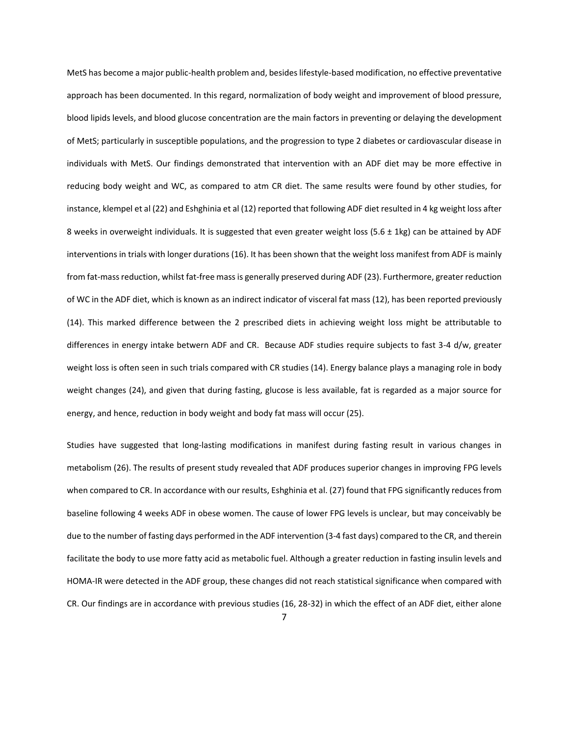MetS has become a major public-health problem and, besides lifestyle-based modification, no effective preventative approach has been documented. In this regard, normalization of body weight and improvement of blood pressure, blood lipids levels, and blood glucose concentration are the main factors in preventing or delaying the development of MetS; particularly in susceptible populations, and the progression to type 2 diabetes or cardiovascular disease in individuals with MetS. Our findings demonstrated that intervention with an ADF diet may be more effective in reducing body weight and WC, as compared to atm CR diet. The same results were found by other studies, for instance, klempel et al (22) and Eshghinia et al (12) reported that following ADF diet resulted in 4 kg weight loss after 8 weeks in overweight individuals. It is suggested that even greater weight loss (5.6 ± 1kg) can be attained by ADF interventions in trials with longer durations (16). It has been shown that the weight loss manifest from ADF is mainly from fat-mass reduction, whilst fat-free mass is generally preserved during ADF (23). Furthermore, greater reduction of WC in the ADF diet, which is known as an indirect indicator of visceral fat mass (12), has been reported previously (14). This marked difference between the 2 prescribed diets in achieving weight loss might be attributable to differences in energy intake betwern ADF and CR. Because ADF studies require subjects to fast 3-4 d/w, greater weight loss is often seen in such trials compared with CR studies (14). Energy balance plays a managing role in body weight changes (24), and given that during fasting, glucose is less available, fat is regarded as a major source for energy, and hence, reduction in body weight and body fat mass will occur (25).

Studies have suggested that long-lasting modifications in manifest during fasting result in various changes in metabolism (26). The results of present study revealed that ADF produces superior changes in improving FPG levels when compared to CR. In accordance with our results, Eshghinia et al. (27) found that FPG significantly reduces from baseline following 4 weeks ADF in obese women. The cause of lower FPG levels is unclear, but may conceivably be due to the number of fasting days performed in the ADF intervention (3-4 fast days) compared to the CR, and therein facilitate the body to use more fatty acid as metabolic fuel. Although a greater reduction in fasting insulin levels and HOMA-IR were detected in the ADF group, these changes did not reach statistical significance when compared with CR. Our findings are in accordance with previous studies (16, 28-32) in which the effect of an ADF diet, either alone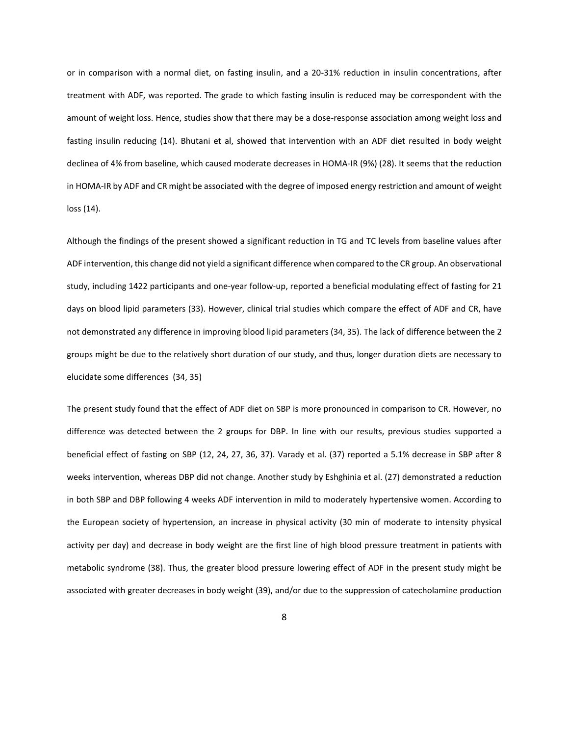or in comparison with a normal diet, on fasting insulin, and a 20-31% reduction in insulin concentrations, after treatment with ADF, was reported. The grade to which fasting insulin is reduced may be correspondent with the amount of weight loss. Hence, studies show that there may be a dose-response association among weight loss and fasting insulin reducing (14). Bhutani et al, showed that intervention with an ADF diet resulted in body weight declinea of 4% from baseline, which caused moderate decreases in HOMA-IR (9%) (28). It seems that the reduction in HOMA-IR by ADF and CR might be associated with the degree of imposed energy restriction and amount of weight loss (14).

Although the findings of the present showed a significant reduction in TG and TC levels from baseline values after ADF intervention, this change did not yield a significant difference when compared to the CR group. An observational study, including 1422 participants and one-year follow-up, reported a beneficial modulating effect of fasting for 21 days on blood lipid parameters (33). However, clinical trial studies which compare the effect of ADF and CR, have not demonstrated any difference in improving blood lipid parameters (34, 35). The lack of difference between the 2 groups might be due to the relatively short duration of our study, and thus, longer duration diets are necessary to elucidate some differences (34, 35)

The present study found that the effect of ADF diet on SBP is more pronounced in comparison to CR. However, no difference was detected between the 2 groups for DBP. In line with our results, previous studies supported a beneficial effect of fasting on SBP (12, 24, 27, 36, 37). Varady et al. (37) reported a 5.1% decrease in SBP after 8 weeks intervention, whereas DBP did not change. Another study by Eshghinia et al. (27) demonstrated a reduction in both SBP and DBP following 4 weeks ADF intervention in mild to moderately hypertensive women. According to the European society of hypertension, an increase in physical activity (30 min of moderate to intensity physical activity per day) and decrease in body weight are the first line of high blood pressure treatment in patients with metabolic syndrome (38). Thus, the greater blood pressure lowering effect of ADF in the present study might be associated with greater decreases in body weight (39), and/or due to the suppression of catecholamine production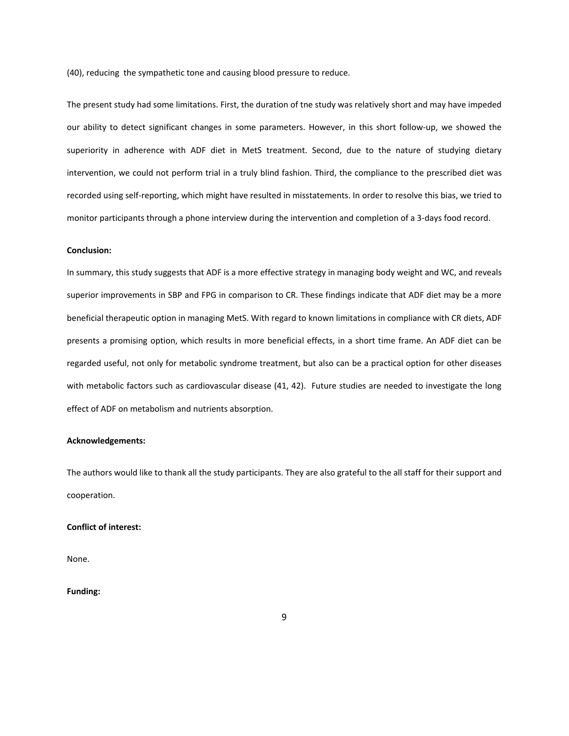(40), reducing the sympathetic tone and causing blood pressure to reduce.

The present study had some limitations. First, the duration of tne study was relatively short and may have impeded our ability to detect significant changes in some parameters. However, in this short follow-up, we showed the superiority in adherence with ADF diet in MetS treatment. Second, due to the nature of studying dietary intervention, we could not perform trial in a truly blind fashion. Third, the compliance to the prescribed diet was recorded using self-reporting, which might have resulted in misstatements. In order to resolve this bias, we tried to monitor participants through a phone interview during the intervention and completion of a 3-days food record.

#### **Conclusion:**

In summary, this study suggests that ADF is a more effective strategy in managing body weight and WC, and reveals superior improvements in SBP and FPG in comparison to CR. These findings indicate that ADF diet may be a more beneficial therapeutic option in managing MetS. With regard to known limitations in compliance with CR diets, ADF presents a promising option, which results in more beneficial effects, in a short time frame. An ADF diet can be regarded useful, not only for metabolic syndrome treatment, but also can be a practical option for other diseases with metabolic factors such as cardiovascular disease (41, 42). Future studies are needed to investigate the long effect of ADF on metabolism and nutrients absorption.

#### **Acknowledgements:**

The authors would like to thank all the study participants. They are also grateful to the all staff for their support and cooperation.

## **Conflict of interest:**

None.

# **Funding:**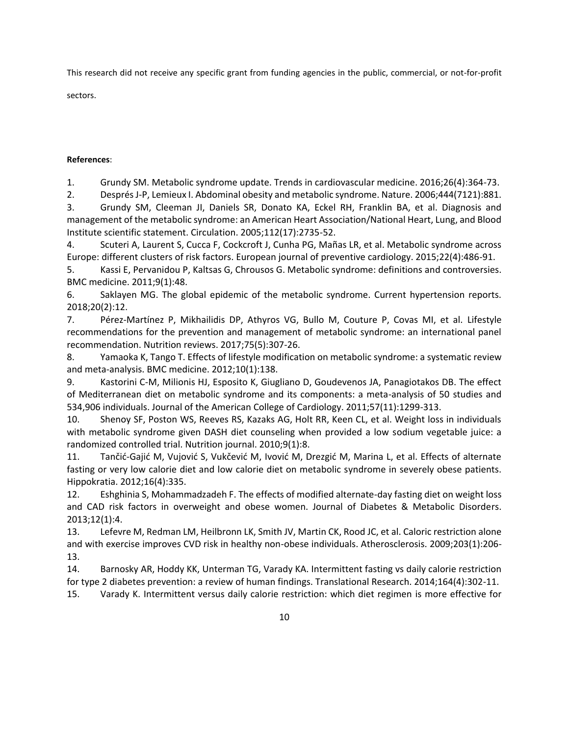This research did not receive any specific grant from funding agencies in the public, commercial, or not-for-profit

sectors.

# **References**:

1. Grundy SM. Metabolic syndrome update. Trends in cardiovascular medicine. 2016;26(4):364-73.

2. Després J-P, Lemieux I. Abdominal obesity and metabolic syndrome. Nature. 2006;444(7121):881.

3. Grundy SM, Cleeman JI, Daniels SR, Donato KA, Eckel RH, Franklin BA, et al. Diagnosis and management of the metabolic syndrome: an American Heart Association/National Heart, Lung, and Blood Institute scientific statement. Circulation. 2005;112(17):2735-52.

4. Scuteri A, Laurent S, Cucca F, Cockcroft J, Cunha PG, Mañas LR, et al. Metabolic syndrome across Europe: different clusters of risk factors. European journal of preventive cardiology. 2015;22(4):486-91.

5. Kassi E, Pervanidou P, Kaltsas G, Chrousos G. Metabolic syndrome: definitions and controversies. BMC medicine. 2011;9(1):48.

6. Saklayen MG. The global epidemic of the metabolic syndrome. Current hypertension reports. 2018;20(2):12.

7. Pérez-Martínez P, Mikhailidis DP, Athyros VG, Bullo M, Couture P, Covas MI, et al. Lifestyle recommendations for the prevention and management of metabolic syndrome: an international panel recommendation. Nutrition reviews. 2017;75(5):307-26.

8. Yamaoka K, Tango T. Effects of lifestyle modification on metabolic syndrome: a systematic review and meta-analysis. BMC medicine. 2012;10(1):138.

9. Kastorini C-M, Milionis HJ, Esposito K, Giugliano D, Goudevenos JA, Panagiotakos DB. The effect of Mediterranean diet on metabolic syndrome and its components: a meta-analysis of 50 studies and 534,906 individuals. Journal of the American College of Cardiology. 2011;57(11):1299-313.

10. Shenoy SF, Poston WS, Reeves RS, Kazaks AG, Holt RR, Keen CL, et al. Weight loss in individuals with metabolic syndrome given DASH diet counseling when provided a low sodium vegetable juice: a randomized controlled trial. Nutrition journal. 2010;9(1):8.

11. Tančić-Gajić M, Vujović S, Vukčević M, Ivović M, Drezgić M, Marina L, et al. Effects of alternate fasting or very low calorie diet and low calorie diet on metabolic syndrome in severely obese patients. Hippokratia. 2012;16(4):335.

12. Eshghinia S, Mohammadzadeh F. The effects of modified alternate-day fasting diet on weight loss and CAD risk factors in overweight and obese women. Journal of Diabetes & Metabolic Disorders. 2013;12(1):4.

13. Lefevre M, Redman LM, Heilbronn LK, Smith JV, Martin CK, Rood JC, et al. Caloric restriction alone and with exercise improves CVD risk in healthy non-obese individuals. Atherosclerosis. 2009;203(1):206- 13.

14. Barnosky AR, Hoddy KK, Unterman TG, Varady KA. Intermittent fasting vs daily calorie restriction for type 2 diabetes prevention: a review of human findings. Translational Research. 2014;164(4):302-11. 15. Varady K. Intermittent versus daily calorie restriction: which diet regimen is more effective for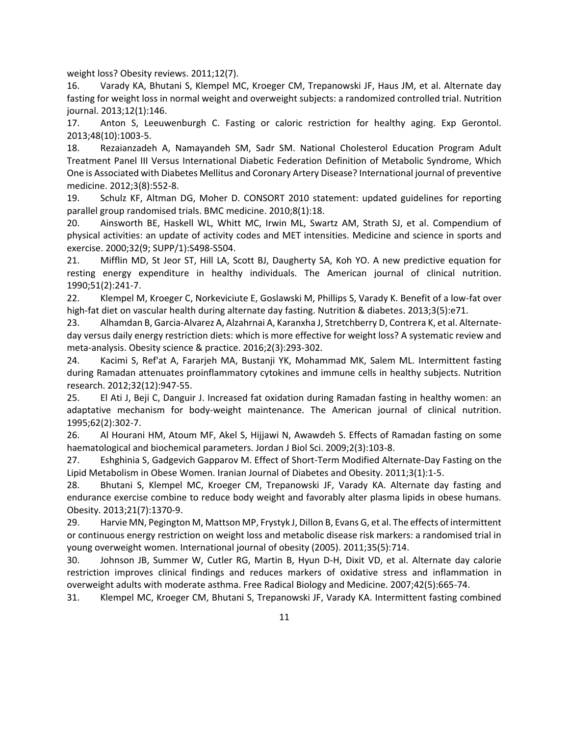weight loss? Obesity reviews. 2011;12(7).

16. Varady KA, Bhutani S, Klempel MC, Kroeger CM, Trepanowski JF, Haus JM, et al. Alternate day fasting for weight loss in normal weight and overweight subjects: a randomized controlled trial. Nutrition journal. 2013;12(1):146.

17. Anton S, Leeuwenburgh C. Fasting or caloric restriction for healthy aging. Exp Gerontol. 2013;48(10):1003-5.

18. Rezaianzadeh A, Namayandeh SM, Sadr SM. National Cholesterol Education Program Adult Treatment Panel III Versus International Diabetic Federation Definition of Metabolic Syndrome, Which One is Associated with Diabetes Mellitus and Coronary Artery Disease? International journal of preventive medicine. 2012;3(8):552-8.

19. Schulz KF, Altman DG, Moher D. CONSORT 2010 statement: updated guidelines for reporting parallel group randomised trials. BMC medicine. 2010;8(1):18.

20. Ainsworth BE, Haskell WL, Whitt MC, Irwin ML, Swartz AM, Strath SJ, et al. Compendium of physical activities: an update of activity codes and MET intensities. Medicine and science in sports and exercise. 2000;32(9; SUPP/1):S498-S504.

21. Mifflin MD, St Jeor ST, Hill LA, Scott BJ, Daugherty SA, Koh YO. A new predictive equation for resting energy expenditure in healthy individuals. The American journal of clinical nutrition. 1990;51(2):241-7.

22. Klempel M, Kroeger C, Norkeviciute E, Goslawski M, Phillips S, Varady K. Benefit of a low-fat over high-fat diet on vascular health during alternate day fasting. Nutrition & diabetes. 2013;3(5):e71.

23. Alhamdan B, Garcia‐Alvarez A, Alzahrnai A, Karanxha J, Stretchberry D, Contrera K, et al. Alternate‐ day versus daily energy restriction diets: which is more effective for weight loss? A systematic review and meta‐analysis. Obesity science & practice. 2016;2(3):293-302.

24. Kacimi S, Ref'at A, Fararjeh MA, Bustanji YK, Mohammad MK, Salem ML. Intermittent fasting during Ramadan attenuates proinflammatory cytokines and immune cells in healthy subjects. Nutrition research. 2012;32(12):947-55.

25. El Ati J, Beji C, Danguir J. Increased fat oxidation during Ramadan fasting in healthy women: an adaptative mechanism for body-weight maintenance. The American journal of clinical nutrition. 1995;62(2):302-7.

26. Al Hourani HM, Atoum MF, Akel S, Hijjawi N, Awawdeh S. Effects of Ramadan fasting on some haematological and biochemical parameters. Jordan J Biol Sci. 2009;2(3):103-8.

27. Eshghinia S, Gadgevich Gapparov M. Effect of Short-Term Modified Alternate-Day Fasting on the Lipid Metabolism in Obese Women. Iranian Journal of Diabetes and Obesity. 2011;3(1):1-5.

28. Bhutani S, Klempel MC, Kroeger CM, Trepanowski JF, Varady KA. Alternate day fasting and endurance exercise combine to reduce body weight and favorably alter plasma lipids in obese humans. Obesity. 2013;21(7):1370-9.

29. Harvie MN, Pegington M, Mattson MP, Frystyk J, Dillon B, Evans G, et al. The effects of intermittent or continuous energy restriction on weight loss and metabolic disease risk markers: a randomised trial in young overweight women. International journal of obesity (2005). 2011;35(5):714.

30. Johnson JB, Summer W, Cutler RG, Martin B, Hyun D-H, Dixit VD, et al. Alternate day calorie restriction improves clinical findings and reduces markers of oxidative stress and inflammation in overweight adults with moderate asthma. Free Radical Biology and Medicine. 2007;42(5):665-74.

31. Klempel MC, Kroeger CM, Bhutani S, Trepanowski JF, Varady KA. Intermittent fasting combined